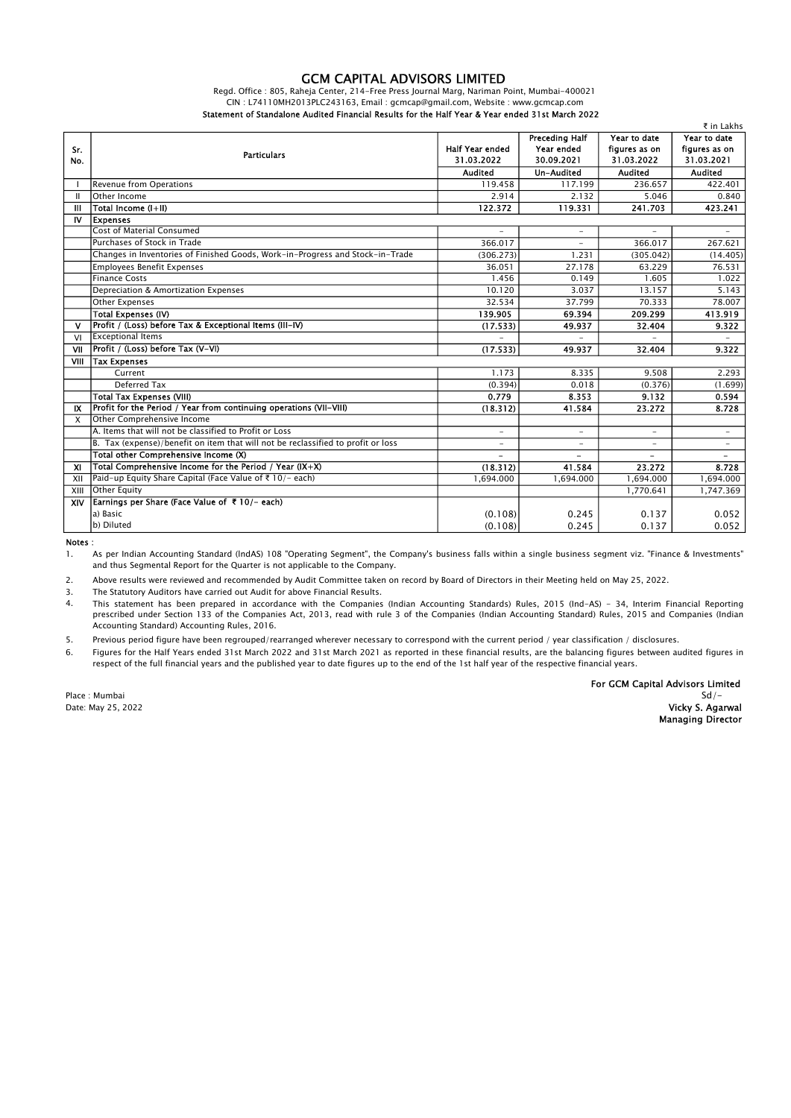## GCM CAPITAL ADVISORS LIMITED

Regd. Office : 805, Raheja Center, 214-Free Press Journal Marg, Nariman Point, Mumbai-400021 CIN : L74110MH2013PLC243163, Email : gcmcap@gmail.com, Website : www.gcmcap.com Statement of Standalone Audited Financial Results for the Half Year & Year ended 31st March 2022

|                           |                                                                                  |                          |                          |                          | ₹ in Lakhs               |
|---------------------------|----------------------------------------------------------------------------------|--------------------------|--------------------------|--------------------------|--------------------------|
| Sr.<br>No.                | <b>Particulars</b>                                                               |                          | Preceding Half           | Year to date             | Year to date             |
|                           |                                                                                  | <b>Half Year ended</b>   | Year ended               | figures as on            | figures as on            |
|                           |                                                                                  | 31.03.2022               | 30.09.2021               | 31.03.2022               | 31.03.2021               |
|                           |                                                                                  | <b>Audited</b>           | <b>Un-Audited</b>        | <b>Audited</b>           | <b>Audited</b>           |
|                           | <b>Revenue from Operations</b>                                                   | 119.458                  | 117.199                  | 236.657                  | 422.401                  |
| Ш                         | Other Income                                                                     | 2.914                    | 2.132                    | 5.046                    | 0.840                    |
| Ш                         | Total Income (I+II)                                                              | 122.372                  | 119.331                  | 241.703                  | 423.241                  |
| IV                        | <b>Expenses</b>                                                                  |                          |                          |                          |                          |
|                           | <b>Cost of Material Consumed</b>                                                 | $\overline{\phantom{0}}$ | $\overline{a}$           | $\overline{\phantom{a}}$ | $\overline{\phantom{0}}$ |
|                           | Purchases of Stock in Trade                                                      | 366.017                  |                          | 366.017                  | 267.621                  |
|                           | Changes in Inventories of Finished Goods, Work-in-Progress and Stock-in-Trade    | (306.273)                | 1.231                    | (305.042)                | (14.405)                 |
|                           | <b>Employees Benefit Expenses</b>                                                | 36.051                   | 27.178                   | 63.229                   | 76.531                   |
|                           | <b>Finance Costs</b>                                                             | 1.456                    | 0.149                    | 1.605                    | 1.022                    |
|                           | Depreciation & Amortization Expenses                                             | 10.120                   | 3.037                    | 13.157                   | 5.143                    |
|                           | <b>Other Expenses</b>                                                            | 32.534                   | 37.799                   | 70.333                   | 78.007                   |
|                           | <b>Total Expenses (IV)</b>                                                       | 139.905                  | 69.394                   | 209.299                  | 413.919                  |
| v                         | Profit / (Loss) before Tax & Exceptional Items (III-IV)                          | (17.533)                 | 49.937                   | 32.404                   | 9.322                    |
| VI                        | <b>Exceptional Items</b>                                                         |                          |                          |                          |                          |
| VII                       | Profit / (Loss) before Tax (V-VI)                                                | (17.533)                 | 49.937                   | 32.404                   | 9.322                    |
| VIII                      | <b>Tax Expenses</b>                                                              |                          |                          |                          |                          |
|                           | Current                                                                          | 1.173                    | 8.335                    | 9.508                    | 2.293                    |
|                           | Deferred Tax                                                                     | (0.394)                  | 0.018                    | (0.376)                  | (1.699)                  |
|                           | <b>Total Tax Expenses (VIII)</b>                                                 | 0.779                    | 8.353                    | 9.132                    | 0.594                    |
| IX                        | Profit for the Period / Year from continuing operations (VII-VIII)               | (18.312)                 | 41.584                   | 23.272                   | 8.728                    |
| $\boldsymbol{\mathsf{x}}$ | Other Comprehensive Income                                                       |                          |                          |                          |                          |
|                           | A. Items that will not be classified to Profit or Loss                           | -                        | $\overline{\phantom{a}}$ | $\overline{\phantom{a}}$ | $\overline{a}$           |
|                           | B. Tax (expense)/benefit on item that will not be reclassified to profit or loss | $\overline{\phantom{a}}$ | $\sim$                   | $\overline{\phantom{a}}$ | $\overline{\phantom{a}}$ |
|                           | Total other Comprehensive Income (X)                                             |                          |                          |                          |                          |
| XI                        | Total Comprehensive Income for the Period / Year (IX+X)                          | (18.312)                 | 41.584                   | 23.272                   | 8.728                    |
| XII                       | Paid-up Equity Share Capital (Face Value of ₹ 10/- each)                         | 1,694.000                | 1,694.000                | 1,694.000                | 1,694.000                |
| XIII                      | <b>Other Equity</b>                                                              |                          |                          | 1,770.641                | 1,747.369                |
| XIV                       | Earnings per Share (Face Value of ₹10/- each)                                    |                          |                          |                          |                          |
|                           | a) Basic                                                                         | (0.108)                  | 0.245                    | 0.137                    | 0.052                    |
|                           | b) Diluted                                                                       | (0.108)                  | 0.245                    | 0.137                    | 0.052                    |

Notes :

1. As per Indian Accounting Standard (lndAS) 108 "Operating Segment", the Company's business falls within a single business segment viz. "Finance & Investments" and thus Segmental Report for the Quarter is not applicable to the Company.

2. Above results were reviewed and recommended by Audit Committee taken on record by Board of Directors in their Meeting held on May 25, 2022.

3. The Statutory Auditors have carried out Audit for above Financial Results.

4. This statement has been prepared in accordance with the Companies (Indian Accounting Standards) Rules, 2015 (Ind-AS) - 34, Interim Financial Reporting prescribed under Section 133 of the Companies Act, 2013, read with rule 3 of the Companies (Indian Accounting Standard) Rules, 2015 and Companies (Indian Accounting Standard) Accounting Rules, 2016.

5. Previous period figure have been regrouped/rearranged wherever necessary to correspond with the current period / year classification / disclosures.

6. Figures for the Half Years ended 31st March 2022 and 31st March 2021 as reported in these financial results, are the balancing figures between audited figures in respect of the full financial years and the published year to date figures up to the end of the 1st half year of the respective financial years.

For GCM Capital Advisors Limited Place : Mumbai Sd/– Sales et al. (1999) and the state of the state of the State of Sd (1999) and Sd (1999) and Sd (1999) and Sd (1999) and Sd (1999) and Sd (1999) and Sd (1999) and Sd (1999) and Sd (1999) and Sd (1999) and Date: May 25, 2022 **Vicky S. Agarwal** Managing Director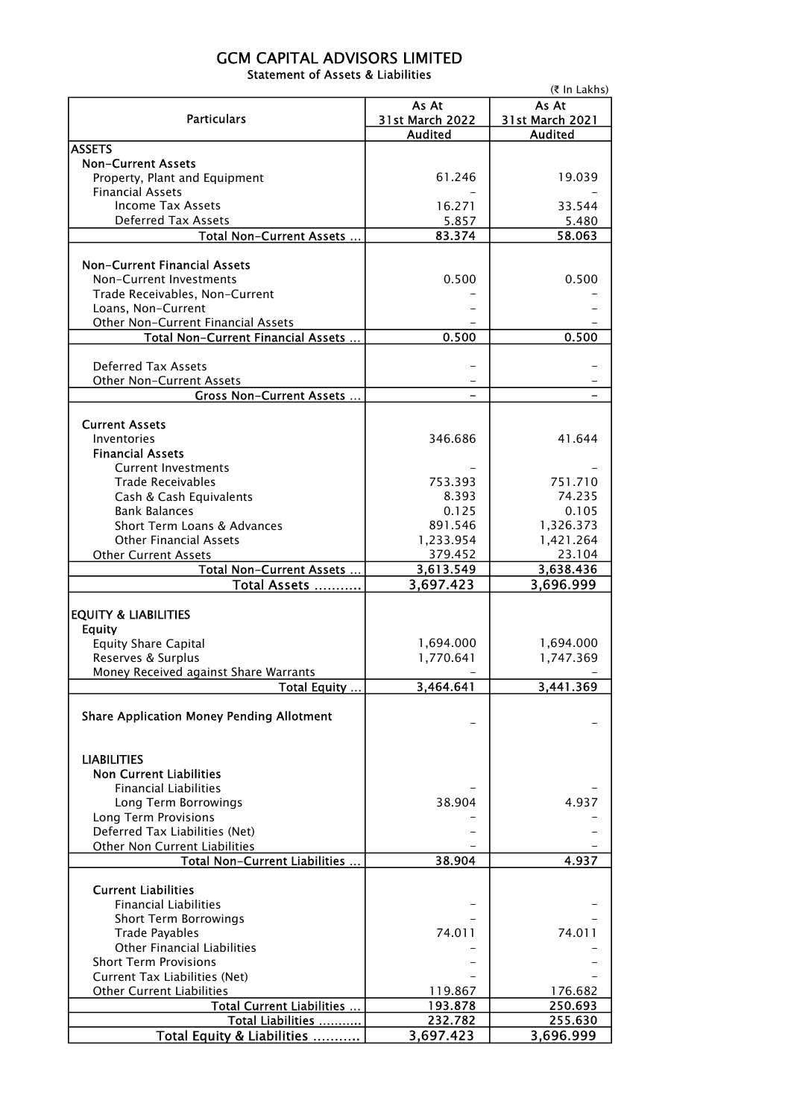## GCM CAPITAL ADVISORS LIMITED Statement of Assets & Liabilities

|                                                       | (₹ In Lakhs)           |                 |  |  |
|-------------------------------------------------------|------------------------|-----------------|--|--|
|                                                       | As At                  |                 |  |  |
| <b>Particulars</b>                                    | <b>31st March 2022</b> | 31st March 2021 |  |  |
|                                                       | <b>Audited</b>         | <b>Audited</b>  |  |  |
| <b>ASSETS</b><br><b>Non-Current Assets</b>            |                        |                 |  |  |
| Property, Plant and Equipment                         | 61.246                 | 19.039          |  |  |
| <b>Financial Assets</b>                               |                        |                 |  |  |
| <b>Income Tax Assets</b>                              | 16.271                 | 33.544          |  |  |
| <b>Deferred Tax Assets</b>                            | 5.857                  | 5.480           |  |  |
| Total Non-Current Assets                              | 83.374                 | 58.063          |  |  |
|                                                       |                        |                 |  |  |
| <b>Non-Current Financial Assets</b>                   |                        |                 |  |  |
| Non-Current Investments                               | 0.500                  | 0.500           |  |  |
| Trade Receivables, Non-Current                        |                        |                 |  |  |
| Loans, Non-Current                                    |                        |                 |  |  |
| Other Non-Current Financial Assets                    |                        |                 |  |  |
| Total Non-Current Financial Assets                    | 0.500                  | 0.500           |  |  |
| <b>Deferred Tax Assets</b>                            |                        |                 |  |  |
| <b>Other Non-Current Assets</b>                       |                        |                 |  |  |
| <b>Gross Non-Current Assets</b>                       |                        |                 |  |  |
|                                                       |                        |                 |  |  |
| <b>Current Assets</b>                                 |                        |                 |  |  |
| Inventories                                           | 346.686                | 41.644          |  |  |
| <b>Financial Assets</b>                               |                        |                 |  |  |
| <b>Current Investments</b>                            |                        |                 |  |  |
| <b>Trade Receivables</b>                              | 753.393                | 751.710         |  |  |
| Cash & Cash Equivalents                               | 8.393                  | 74.235          |  |  |
| <b>Bank Balances</b>                                  | 0.125                  | 0.105           |  |  |
| Short Term Loans & Advances                           | 891.546                | 1,326.373       |  |  |
| <b>Other Financial Assets</b>                         | 1,233.954              | 1,421.264       |  |  |
| <b>Other Current Assets</b>                           | 379.452                | 23.104          |  |  |
| Total Non-Current Assets                              | 3,613.549              | 3,638.436       |  |  |
| Total Assets                                          | 3,697.423              | 3,696.999       |  |  |
| <b>EQUITY &amp; LIABILITIES</b>                       |                        |                 |  |  |
| <b>Equity</b>                                         |                        |                 |  |  |
| <b>Equity Share Capital</b>                           | 1,694.000              | 1,694.000       |  |  |
| Reserves & Surplus                                    | 1,770.641              | 1,747.369       |  |  |
| Money Received against Share Warrants                 |                        |                 |  |  |
| Total Equity                                          | 3,464.641              | 3,441.369       |  |  |
|                                                       |                        |                 |  |  |
| <b>Share Application Money Pending Allotment</b>      |                        |                 |  |  |
|                                                       |                        |                 |  |  |
| <b>LIABILITIES</b>                                    |                        |                 |  |  |
| <b>Non Current Liabilities</b>                        |                        |                 |  |  |
| <b>Financial Liabilities</b>                          |                        |                 |  |  |
| Long Term Borrowings                                  | 38.904                 | 4.937           |  |  |
| Long Term Provisions                                  |                        |                 |  |  |
| Deferred Tax Liabilities (Net)                        |                        |                 |  |  |
| Other Non Current Liabilities                         |                        |                 |  |  |
| Total Non-Current Liabilities                         | 38.904                 | 4.937           |  |  |
|                                                       |                        |                 |  |  |
| <b>Current Liabilities</b>                            |                        |                 |  |  |
| <b>Financial Liabilities</b>                          |                        |                 |  |  |
| <b>Short Term Borrowings</b><br><b>Trade Payables</b> | 74.011                 | 74.011          |  |  |
| <b>Other Financial Liabilities</b>                    |                        |                 |  |  |
| <b>Short Term Provisions</b>                          |                        |                 |  |  |
| Current Tax Liabilities (Net)                         |                        |                 |  |  |
| <b>Other Current Liabilities</b>                      | 119.867                | 176.682         |  |  |
| Total Current Liabilities                             | 193.878                | 250.693         |  |  |
| Total Liabilities                                     | 232.782                | 255.630         |  |  |
| Total Equity & Liabilities                            | 3,697.423              | 3,696.999       |  |  |